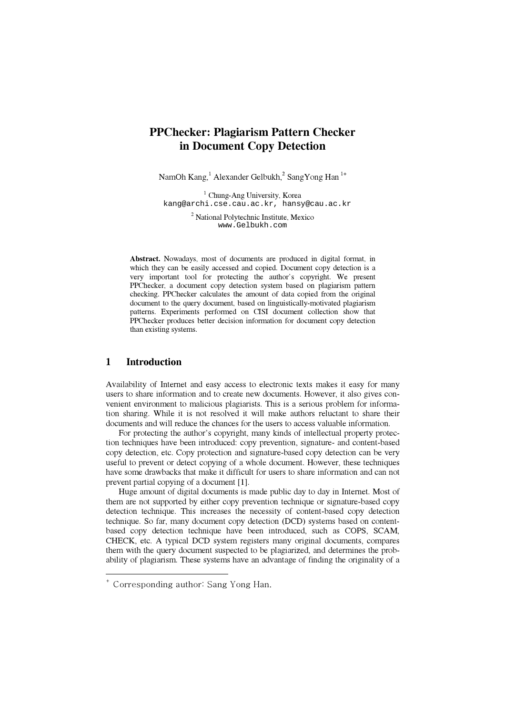# PPChecker: Plagiarism Pattern Checker in Document Copy Detection

NamOh Kang,<sup>1</sup> Alexander Gelbukh,<sup>2</sup> SangYong Han<sup>1+</sup>

<sup>1</sup> Chung-Ang University, Korea kang@archi.cse.cau.ac.kr, hansy@cau.ac.kr

> 2 National Polytechnic Institute, Mexico www.Gelbukh.com

Abstract. Nowadays, most of documents are produced in digital format, in which they can be easily accessed and copied. Document copy detection is a very important tool for protecting the author's copyright. We present PPChecker, a document copy detection system based on plagiarism pattern checking. PPChecker calculates the amount of data copied from the original document to the query document, based on linguistically-motivated plagiarism patterns. Experiments performed on CISI document collection show that PPChecker produces better decision information for document copy detection than existing systems.

### 1 Introduction

Availability of Internet and easy access to electronic texts makes it easy for many users to share information and to create new documents. However, it also gives convenient environment to malicious plagiarists. This is a serious problem for information sharing. While it is not resolved it will make authors reluctant to share their documents and will reduce the chances for the users to access valuable information.

For protecting the author's copyright, many kinds of intellectual property protection techniques have been introduced: copy prevention, signature- and content-based copy detection, etc. Copy protection and signature-based copy detection can be very useful to prevent or detect copying of a whole document. However, these techniques have some drawbacks that make it difficult for users to share information and can not prevent partial copying of a document [1].

Huge amount of digital documents is made public day to day in Internet. Most of them are not supported by either copy prevention technique or signature-based copy detection technique. This increases the necessity of content-based copy detection technique. So far, many document copy detection (DCD) systems based on contentbased copy detection technique have been introduced, such as COPS, SCAM, CHECK, etc. A typical DCD system registers many original documents, compares them with the query document suspected to be plagiarized, and determines the probability of plagiarism. These systems have an advantage of finding the originality of a

<sup>+</sup> Corresponding author: Sang Yong Han.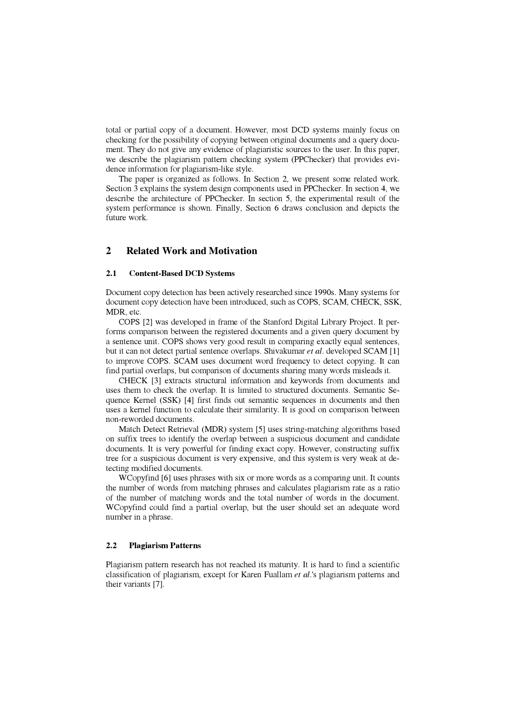total or partial copy of a document. However, most DCD systems mainly focus on checking for the possibility of copying between original documents and a query document. They do not give any evidence of plagiaristic sources to the user. In this paper, we describe the plagiarism pattern checking system (PPChecker) that provides evidence information for plagiarism-like style.

The paper is organized as follows. In Section 2, we present some related work. Section 3 explains the system design components used in PPChecker. In section 4, we describe the architecture of PPChecker. In section 5, the experimental result of the system performance is shown. Finally, Section 6 draws conclusion and depicts the future work.

## 2 Related Work and Motivation

#### 2.1 Content-Based DCD Systems

Document copy detection has been actively researched since 1990s. Many systems for document copy detection have been introduced, such as COPS, SCAM, CHECK, SSK, MDR, etc.

COPS [2] was developed in frame of the Stanford Digital Library Project. It performs comparison between the registered documents and a given query document by a sentence unit. COPS shows very good result in comparing exactly equal sentences, but it can not detect partial sentence overlaps. Shivakumar et al. developed SCAM [1] to improve COPS. SCAM uses document word frequency to detect copying. It can find partial overlaps, but comparison of documents sharing many words misleads it.

CHECK [3] extracts structural information and keywords from documents and uses them to check the overlap. It is limited to structured documents. Semantic Sequence Kernel (SSK) [4] first finds out semantic sequences in documents and then uses a kernel function to calculate their similarity. It is good on comparison between non-reworded documents.

Match Detect Retrieval (MDR) system [5] uses string-matching algorithms based on suffix trees to identify the overlap between a suspicious document and candidate documents. It is very powerful for finding exact copy. However, constructing suffix tree for a suspicious document is very expensive, and this system is very weak at detecting modified documents.

WCopyfind [6] uses phrases with six or more words as a comparing unit. It counts the number of words from matching phrases and calculates plagiarism rate as a ratio of the number of matching words and the total number of words in the document. WCopyfind could find a partial overlap, but the user should set an adequate word number in a phrase.

#### 2.2 Plagiarism Patterns

Plagiarism pattern research has not reached its maturity. It is hard to find a scientific classification of plagiarism, except for Karen Fuallam et al.'s plagiarism patterns and their variants [7].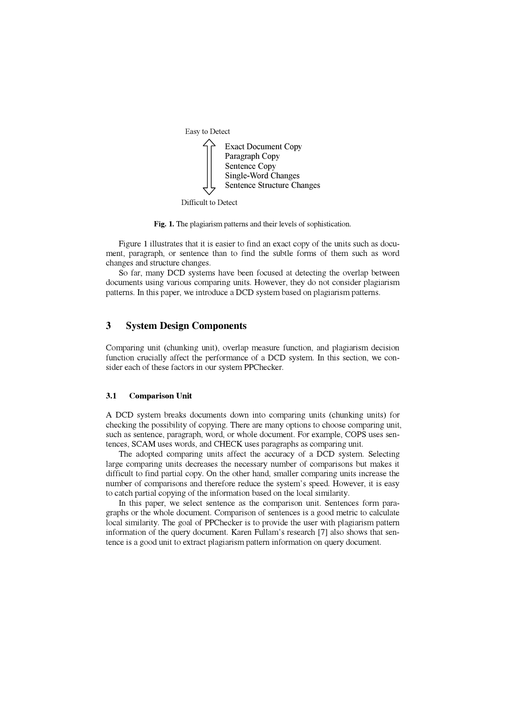

Difficult to Detect

Fig. 1. The plagiarism patterns and their levels of sophistication.

Figure 1 illustrates that it is easier to find an exact copy of the units such as document, paragraph, or sentence than to find the subtle forms of them such as word changes and structure changes.

So far, many DCD systems have been focused at detecting the overlap between documents using various comparing units. However, they do not consider plagiarism patterns. In this paper, we introduce a DCD system based on plagiarism patterns.

## 3 System Design Components

Comparing unit (chunking unit), overlap measure function, and plagiarism decision function crucially affect the performance of a DCD system. In this section, we consider each of these factors in our system PPChecker.

#### 3.1 Comparison Unit

A DCD system breaks documents down into comparing units (chunking units) for checking the possibility of copying. There are many options to choose comparing unit, such as sentence, paragraph, word, or whole document. For example, COPS uses sentences, SCAM uses words, and CHECK uses paragraphs as comparing unit.

The adopted comparing units affect the accuracy of a DCD system. Selecting large comparing units decreases the necessary number of comparisons but makes it difficult to find partial copy. On the other hand, smaller comparing units increase the number of comparisons and therefore reduce the system's speed. However, it is easy to catch partial copying of the information based on the local similarity.

In this paper, we select sentence as the comparison unit. Sentences form paragraphs or the whole document. Comparison of sentences is a good metric to calculate local similarity. The goal of PPChecker is to provide the user with plagiarism pattern information of the query document. Karen Fullam's research [7] also shows that sentence is a good unit to extract plagiarism pattern information on query document.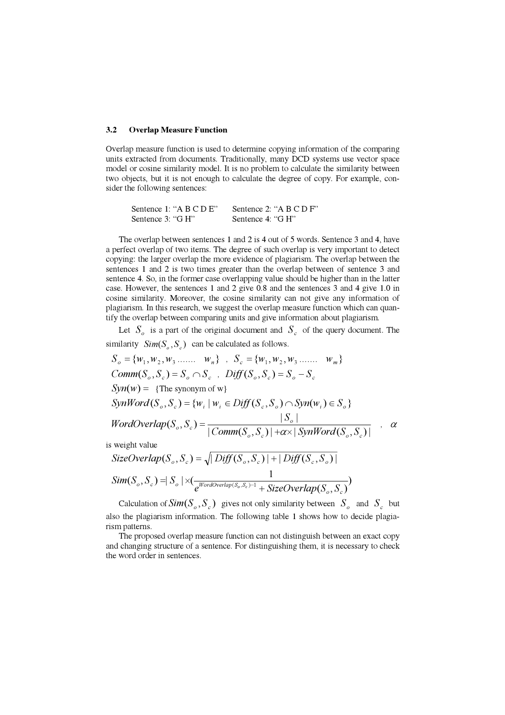#### 3.2 Overlap Measure Function

Overlap measure function is used to determine copying information of the comparing units extracted from documents. Traditionally, many DCD systems use vector space model or cosine similarity model. It is no problem to calculate the similarity between two objects, but it is not enough to calculate the degree of copy. For example, consider the following sentences:

```
Sentence 1: "A B C D E" Sentence 2: "A B C D F"<br>Sentence 3: "G H" Sentence 4: "G H"
                             Sentence 4: "G H"
```
The overlap between sentences 1 and 2 is 4 out of 5 words. Sentence 3 and 4, have a perfect overlap of two items. The degree of such overlap is very important to detect copying: the larger overlap the more evidence of plagiarism. The overlap between the sentences 1 and 2 is two times greater than the overlap between of sentence 3 and sentence 4. So, in the former case overlapping value should be higher than in the latter case. However, the sentences 1 and 2 give 0.8 and the sentences 3 and 4 give 1.0 in cosine similarity. Moreover, the cosine similarity can not give any information of plagiarism. In this research, we suggest the overlap measure function which can quantify the overlap between comparing units and give information about plagiarism.

Let  $S<sub>o</sub>$  is a part of the original document and  $S<sub>c</sub>$  of the query document. The similarity  $Sim(S_2, S_2)$  can be calculated as follows.

$$
S_o = \{w_1, w_2, w_3, \dots, w_n\} , S_c = \{w_1, w_2, w_3, \dots, w_m\}
$$
  
\n
$$
Comm(S_o, S_c) = S_o \cap S_c , Diff(S_o, S_c) = S_o - S_c
$$
  
\n
$$
Syn(w) = \{The synonym of w\}
$$
  
\n
$$
SynWord(S_o, S_c) = \{w_i | w_i \in Diff(S_c, S_o) \cap Syn(w_i) \in S_o\}
$$
  
\n
$$
WordOverlap(S_o, S_c) = \frac{|S_o|}{|Comm(S_o, S_c)| + \alpha \times |SynWord(S_o, S_c)|} , \alpha
$$
  
\nis weight value  
\n
$$
SizeOverlap(S_o, S_c) = \sqrt{|Diff(S_o, S_c)| + |Diff(S_c, S_o)|}
$$
  
\n
$$
Sim(S_o, S_c) = |S_o| \times (\frac{1}{e^{WordOverlap(S_o, S_c)^{-1}} + SizeOverlap(S_o, S_c)})
$$

Calculation of  $Sim(S_o, S_o)$  gives not only similarity between  $S_o$  and  $S_c$  but also the plagiarism information. The following table 1 shows how to decide plagiarism patterns.

The proposed overlap measure function can not distinguish between an exact copy and changing structure of a sentence. For distinguishing them, it is necessary to check the word order in sentences.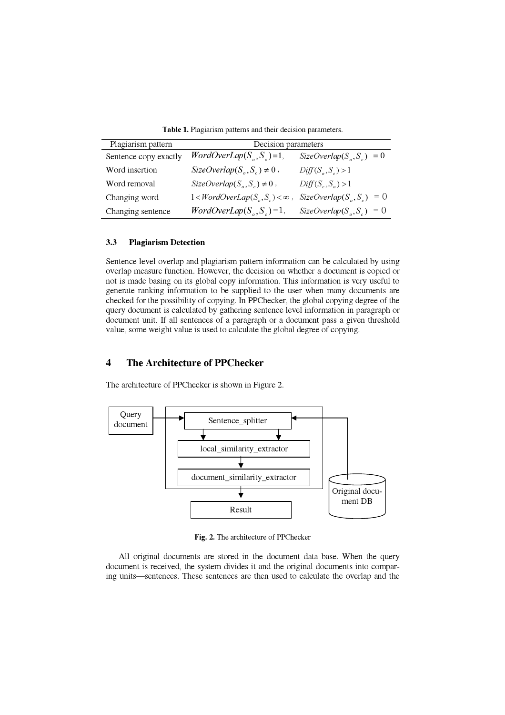Table 1. Plagiarism patterns and their decision parameters.

| Plagiarism pattern    | Decision parameters                                                                                |                                           |  |
|-----------------------|----------------------------------------------------------------------------------------------------|-------------------------------------------|--|
| Sentence copy exactly | $WordOverLap(S_{\alpha}, S_{\alpha})=1,$                                                           | $SizeOverlap(S_{\alpha}, S_{\alpha}) = 0$ |  |
| Word insertion        | $SizeOverlap(S_o, S_c) \neq 0$ ,                                                                   | $Diff(S_\circ, S_\circ) > 1$              |  |
| Word removal          | $SizeOverlap(S_\circ, S_\circ) \neq 0$ ,                                                           | $Diff(S_c, S_c) > 1$                      |  |
| Changing word         | $1 < WordOverLap(S_{\alpha}, S_{\alpha}) < \infty$ , SizeOverlap(S <sub>o</sub> , S <sub>o</sub> ) | $= ()$                                    |  |
| Changing sentence     | $WordOverLap(S_{\alpha}, S_{\alpha})=1,$                                                           | $SizeOverlap(S_o, S_c)$<br>$=$ ()         |  |

#### 3.3 Plagiarism Detection

Sentence level overlap and plagiarism pattern information can be calculated by using overlap measure function. However, the decision on whether a document is copied or not is made basing on its global copy information. This information is very useful to generate ranking information to be supplied to the user when many documents are checked for the possibility of copying. In PPChecker, the global copying degree of the query document is calculated by gathering sentence level information in paragraph or document unit. If all sentences of a paragraph or a document pass a given threshold value, some weight value is used to calculate the global degree of copying.

#### 4 The Architecture of PPChecker

The architecture of PPChecker is shown in Figure 2.



Fig. 2. The architecture of PPChecker

All original documents are stored in the document data base. When the query document is received, the system divides it and the original documents into comparing units—sentences. These sentences are then used to calculate the overlap and the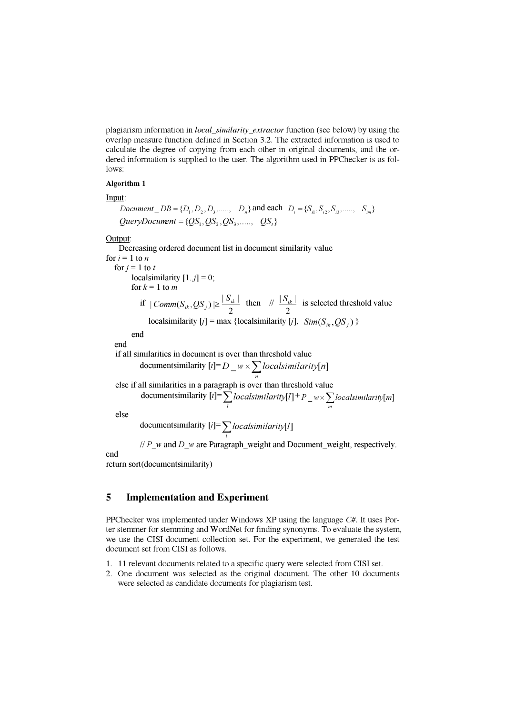plagiarism information in *local\_similarity\_extractor* function (see below) by using the overlap measure function defined in Section 3.2. The extracted information is used to calculate the degree of copying from each other in original documents, and the ordered information is supplied to the user. The algorithm used in PPChecker is as follows:

#### Algorithm 1

Input:

 $Document\_DB = \{D_1, D_2, D_3, \ldots, D_n\}$  and each  $D_i = \{S_{i1}, S_{i2}, S_{i3}, \ldots, S_{in}\}$  $QueryDocument = \{OS_1, OS_2, OS_3, \ldots \cup OS_k\}$ 

#### Output:

 Decreasing ordered document list in document similarity value for  $i = 1$  to n

for  $j = 1$  to t

localsimilarity  $[1..j] = 0$ ; for  $k = 1$  to  $m$  if 2  $| Comm(S_{ik}, QS_{j})| \geq \frac{|S_{ik}|}{2}$  then //  $\frac{|S_{ik}|}{2}$  $|\mathcal{S}_{ik}|$  is selected threshold value localsimilarity  $[j]$  = max {localsimilarity  $[j]$ ,  $Sim(S_{ik}, QS_{i})$  }

 end end

if all similarities in document is over than threshold value

documentsimilarity  $[i] = D_w \times \sum_{n} local similarity[n]$ 

else if all similarities in a paragraph is over than threshold value documentsimilarity  $[i] = \sum_{l} local similarity[l] + P_{w} \times \sum_{m} local similarity[m]$ 

else

documentsimilarity [*i*]= $\sum_{l}$  *localsimilarity*[*l*]

 $/ \ell P_w$  and  $D_w$  are Paragraph\_weight and Document\_weight, respectively.

end

return sort(documentsimilarity)

## 5 Implementation and Experiment

PPChecker was implemented under Windows XP using the language C#. It uses Porter stemmer for stemming and WordNet for finding synonyms. To evaluate the system, we use the CISI document collection set. For the experiment, we generated the test document set from CISI as follows.

- 1. 11 relevant documents related to a specific query were selected from CISI set.
- 2. One document was selected as the original document. The other 10 documents were selected as candidate documents for plagiarism test.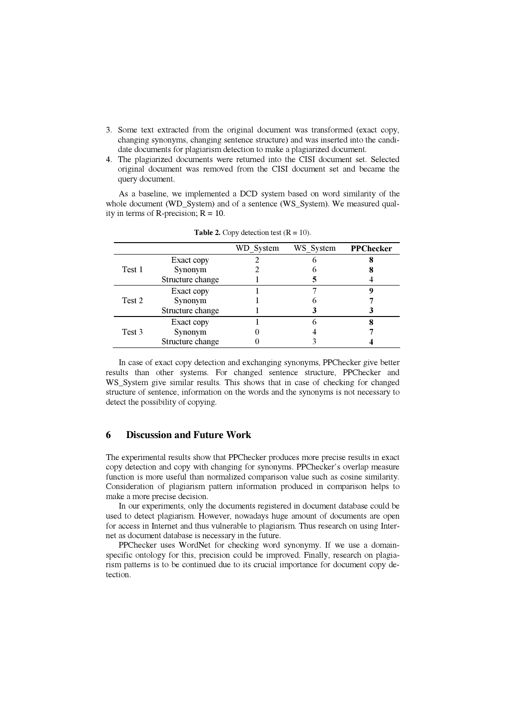- 3. Some text extracted from the original document was transformed (exact copy, changing synonyms, changing sentence structure) and was inserted into the candidate documents for plagiarism detection to make a plagiarized document.
- 4. The plagiarized documents were returned into the CISI document set. Selected original document was removed from the CISI document set and became the query document.

As a baseline, we implemented a DCD system based on word similarity of the whole document (WD\_System) and of a sentence (WS\_System). We measured quality in terms of R-precision;  $R = 10$ .

|        |                  | WD System | WS System | <b>PPChecker</b> |
|--------|------------------|-----------|-----------|------------------|
| Test 1 | Exact copy       |           |           |                  |
|        | Synonym          |           |           |                  |
|        | Structure change |           |           |                  |
| Test 2 | Exact copy       |           |           |                  |
|        | Synonym          |           |           |                  |
|        | Structure change |           |           |                  |
| Test 3 | Exact copy       |           |           |                  |
|        | Synonym          |           |           |                  |
|        | Structure change |           |           |                  |

**Table 2.** Copy detection test  $(R = 10)$ .

In case of exact copy detection and exchanging synonyms, PPChecker give better results than other systems. For changed sentence structure, PPChecker and WS\_System give similar results. This shows that in case of checking for changed structure of sentence, information on the words and the synonyms is not necessary to detect the possibility of copying.

### 6 Discussion and Future Work

The experimental results show that PPChecker produces more precise results in exact copy detection and copy with changing for synonyms. PPChecker's overlap measure function is more useful than normalized comparison value such as cosine similarity. Consideration of plagiarism pattern information produced in comparison helps to make a more precise decision.

In our experiments, only the documents registered in document database could be used to detect plagiarism. However, nowadays huge amount of documents are open for access in Internet and thus vulnerable to plagiarism. Thus research on using Internet as document database is necessary in the future.

PPChecker uses WordNet for checking word synonymy. If we use a domainspecific ontology for this, precision could be improved. Finally, research on plagiarism patterns is to be continued due to its crucial importance for document copy detection.